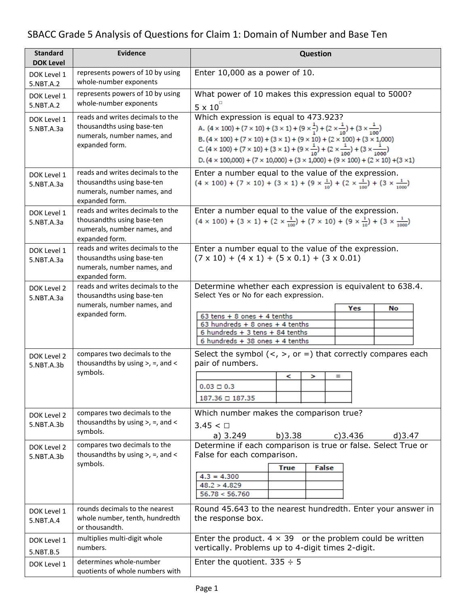# SBACC Grade 5 Analysis of Questions for Claim 1: Domain of Number and Base Ten

| <b>Standard</b><br><b>DOK Level</b> | <b>Evidence</b>                                                                                                 | <b>Question</b>                                                                                                                                                                                                                                                                                                                                                                                                                                                                                                                              |  |
|-------------------------------------|-----------------------------------------------------------------------------------------------------------------|----------------------------------------------------------------------------------------------------------------------------------------------------------------------------------------------------------------------------------------------------------------------------------------------------------------------------------------------------------------------------------------------------------------------------------------------------------------------------------------------------------------------------------------------|--|
| DOK Level 1<br>5.NBT.A.2            | represents powers of 10 by using<br>whole-number exponents                                                      | Enter $10,000$ as a power of $10$ .                                                                                                                                                                                                                                                                                                                                                                                                                                                                                                          |  |
| DOK Level 1<br>5.NBT.A.2            | represents powers of 10 by using<br>whole-number exponents                                                      | What power of 10 makes this expression equal to 5000?<br>$5 \times 10^{-7}$                                                                                                                                                                                                                                                                                                                                                                                                                                                                  |  |
| DOK Level 1<br>5.NBT.A.3a           | reads and writes decimals to the<br>thousandths using base-ten<br>numerals, number names, and<br>expanded form. | Which expression is equal to 473.923?<br>A. $(4 \times 100) + (7 \times 10) + (3 \times 1) + (9 \times \frac{1}{1}) + (2 \times \frac{1}{10}) + (3 \times \frac{1}{100})$<br>B. $(4 \times 100) + (7 \times 10) + (3 \times 1) + (9 \times 10) + (2 \times 100) + (3 \times 1,000)$<br>C. $(4 \times 100) + (7 \times 10) + (3 \times 1) + (9 \times \frac{1}{10}) + (2 \times \frac{1}{100}) + (3 \times \frac{1}{1000})$<br>D. $(4 \times 100,000) + (7 \times 10,000) + (3 \times 1,000) + (9 \times 100) + (2 \times 10) + (3 \times 1)$ |  |
| DOK Level 1<br>5.NBT.A.3a           | reads and writes decimals to the<br>thousandths using base-ten<br>numerals, number names, and<br>expanded form. | Enter a number equal to the value of the expression.<br>$(4 \times 100) + (7 \times 10) + (3 \times 1) + (9 \times \frac{1}{10}) + (2 \times \frac{1}{100}) + (3 \times \frac{1}{1000})$                                                                                                                                                                                                                                                                                                                                                     |  |
| DOK Level 1<br>5.NBT.A.3a           | reads and writes decimals to the<br>thousandths using base-ten<br>numerals, number names, and<br>expanded form. | Enter a number equal to the value of the expression.<br>$(4 \times 100) + (3 \times 1) + (2 \times \frac{1}{100}) + (7 \times 10) + (9 \times \frac{1}{10}) + (3 \times \frac{1}{1000})$                                                                                                                                                                                                                                                                                                                                                     |  |
| DOK Level 1<br>5.NBT.A.3a           | reads and writes decimals to the<br>thousandths using base-ten<br>numerals, number names, and<br>expanded form. | Enter a number equal to the value of the expression.<br>$(7 \times 10) + (4 \times 1) + (5 \times 0.1) + (3 \times 0.01)$                                                                                                                                                                                                                                                                                                                                                                                                                    |  |
| DOK Level 2<br>5.NBT.A.3a           | reads and writes decimals to the<br>thousandths using base-ten<br>numerals, number names, and<br>expanded form. | Determine whether each expression is equivalent to 638.4.<br>Select Yes or No for each expression.<br>Yes<br>No<br>$63$ tens + 8 ones + 4 tenths<br>63 hundreds $+ 8$ ones $+ 4$ tenths<br>6 hundreds $+3$ tens $+84$ tenths<br>6 hundreds $+38$ ones $+4$ tenths                                                                                                                                                                                                                                                                            |  |
| DOK Level 2<br>5.NBT.A.3b           | compares two decimals to the<br>thousand ths by using $>$ , $=$ , and $\lt$<br>symbols.                         | Select the symbol $(<, >,$ or =) that correctly compares each<br>pair of numbers.<br>$\equiv$<br><<br>><br>$0.03 \Box 0.3$<br>187.36 □ 187.35                                                                                                                                                                                                                                                                                                                                                                                                |  |
| DOK Level 2<br>5.NBT.A.3b           | compares two decimals to the<br>thousandths by using $>$ , =, and <<br>symbols.                                 | Which number makes the comparison true?<br>$3.45 < \Box$<br>a) 3.249<br>b)3.38<br>c)3.436<br>$d$ )3.47                                                                                                                                                                                                                                                                                                                                                                                                                                       |  |
| DOK Level 2<br>5.NBT.A.3b           | compares two decimals to the<br>thousand ths by using $>$ , $=$ , and $\lt$<br>symbols.                         | Determine if each comparison is true or false. Select True or<br>False for each comparison.<br>False<br><b>True</b><br>$4.3 = 4.300$<br>48.2 > 4.829<br>56.78 < 56.760                                                                                                                                                                                                                                                                                                                                                                       |  |
| DOK Level 1<br>5.NBT.A.4            | rounds decimals to the nearest<br>whole number, tenth, hundredth<br>or thousandth.                              | Round 45.643 to the nearest hundredth. Enter your answer in<br>the response box.                                                                                                                                                                                                                                                                                                                                                                                                                                                             |  |
| DOK Level 1<br>5.NBT.B.5            | multiplies multi-digit whole<br>numbers.                                                                        | Enter the product. $4 \times 39$ or the problem could be written<br>vertically. Problems up to 4-digit times 2-digit.                                                                                                                                                                                                                                                                                                                                                                                                                        |  |
| DOK Level 1                         | determines whole-number<br>quotients of whole numbers with                                                      | Enter the quotient. $335 \div 5$                                                                                                                                                                                                                                                                                                                                                                                                                                                                                                             |  |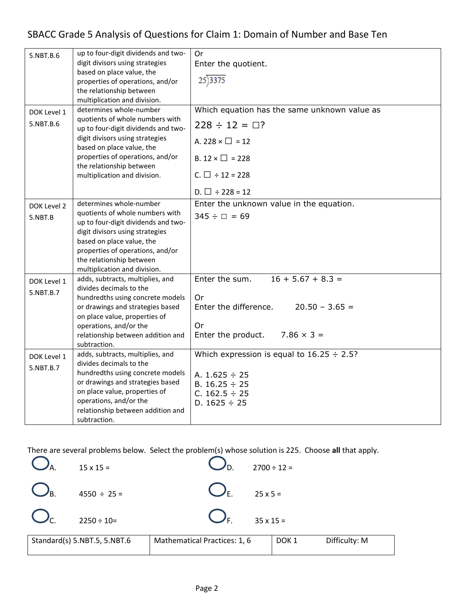| 5.NBT.B.6   | up to four-digit dividends and two-<br>digit divisors using strategies | 0r<br>Enter the quotient.                       |
|-------------|------------------------------------------------------------------------|-------------------------------------------------|
|             | based on place value, the<br>properties of operations, and/or          | 25)3375                                         |
|             | the relationship between                                               |                                                 |
|             | multiplication and division.                                           |                                                 |
| DOK Level 1 | determines whole-number                                                | Which equation has the same unknown value as    |
| 5.NBT.B.6   | quotients of whole numbers with<br>up to four-digit dividends and two- | $228 \div 12 = \square$ ?                       |
|             | digit divisors using strategies<br>based on place value, the           | A. 228 $\times$ $\Box$ = 12                     |
|             | properties of operations, and/or<br>the relationship between           | B. $12 \times \square$ = 228                    |
|             | multiplication and division.                                           | C. $\Box \div 12 = 228$                         |
|             |                                                                        | D. $\Box \div 228 = 12$                         |
| DOK Level 2 | determines whole-number                                                | Enter the unknown value in the equation.        |
| 5.NBT.B     | quotients of whole numbers with<br>up to four-digit dividends and two- | $345 \div \Box = 69$                            |
|             | digit divisors using strategies                                        |                                                 |
|             | based on place value, the                                              |                                                 |
|             | properties of operations, and/or                                       |                                                 |
|             | the relationship between<br>multiplication and division.               |                                                 |
| DOK Level 1 | adds, subtracts, multiplies, and                                       | Enter the sum.<br>$16 + 5.67 + 8.3 =$           |
| 5.NBT.B.7   | divides decimals to the                                                |                                                 |
|             | hundredths using concrete models                                       | Or                                              |
|             | or drawings and strategies based<br>on place value, properties of      | Enter the difference.<br>$20.50 - 3.65 =$       |
|             | operations, and/or the                                                 | Or                                              |
|             | relationship between addition and                                      | Enter the product.<br>$7.86 \times 3 =$         |
|             | subtraction.                                                           |                                                 |
| DOK Level 1 | adds, subtracts, multiplies, and                                       | Which expression is equal to $16.25 \div 2.5$ ? |
| 5.NBT.B.7   | divides decimals to the<br>hundredths using concrete models            |                                                 |
|             | or drawings and strategies based                                       | A. $1.625 \div 25$<br>B. $16.25 \div 25$        |
|             | on place value, properties of                                          | C. $162.5 \div 25$                              |
|             | operations, and/or the                                                 | D. $1625 \div 25$                               |
|             | relationship between addition and<br>subtraction.                      |                                                 |

There are several problems below. Select the problem(s) whose solution is 225. Choose **all** that apply.

|                      | $15 \times 15 =$             |                              | $2700 \div 12 =$ |               |
|----------------------|------------------------------|------------------------------|------------------|---------------|
| $\bigcup_{\text{B}}$ | $4550 \div 25 =$             | $\bigcup_{\mathsf{F}}$       | $25 \times 5 =$  |               |
| $\sum_{c}$           | $2250 \div 10=$              | $\bigcup_{\mathsf{F}}$       | $35 \times 15 =$ |               |
|                      | Standard(s) 5.NBT.5, 5.NBT.6 | Mathematical Practices: 1, 6 | DOK <sub>1</sub> | Difficulty: M |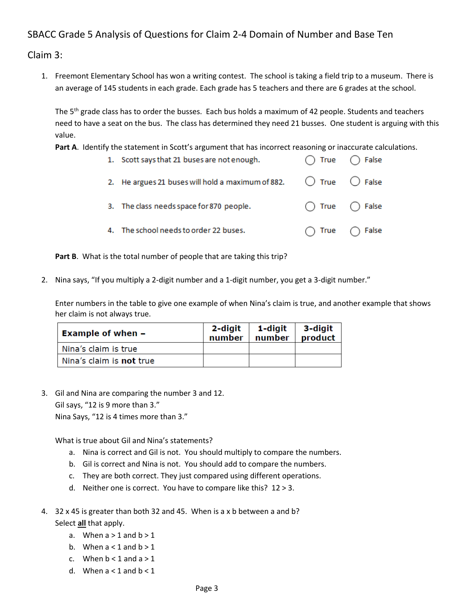## SBACC Grade 5 Analysis of Questions for Claim 2-4 Domain of Number and Base Ten

Claim 3:

1. Freemont Elementary School has won a writing contest. The school is taking a field trip to a museum. There is an average of 145 students in each grade. Each grade has 5 teachers and there are 6 grades at the school.

The  $5<sup>th</sup>$  grade class has to order the busses. Each bus holds a maximum of 42 people. Students and teachers need to have a seat on the bus. The class has determined they need 21 busses. One student is arguing with this value.

Part A. Identify the statement in Scott's argument that has incorrect reasoning or inaccurate calculations.

| 1. Scott says that 21 buses are not enough.                                        | $\bigcap$ True $\bigcap$ False |
|------------------------------------------------------------------------------------|--------------------------------|
| 2. He argues 21 buses will hold a maximum of 882. $\bigcirc$ True $\bigcirc$ False |                                |
| 3. The class needs space for 870 people.                                           | $\bigcap$ True $\bigcap$ False |
| 4. The school needs to order 22 buses.                                             | $\bigcap$ True $\bigcap$ False |

**Part B**. What is the total number of people that are taking this trip?

2. Nina says, "If you multiply a 2-digit number and a 1-digit number, you get a 3-digit number."

Enter numbers in the table to give one example of when Nina's claim is true, and another example that shows her claim is not always true.

| <b>Example of when -</b>        | $2$ -digit $\vert$ 1-digit<br>number | number | 3-diait<br>product |
|---------------------------------|--------------------------------------|--------|--------------------|
| Nina's claim is true            |                                      |        |                    |
| Nina's claim is <b>not</b> true |                                      |        |                    |

3. Gil and Nina are comparing the number 3 and 12.

Gil says, "12 is 9 more than 3."

Nina Says, "12 is 4 times more than 3."

What is true about Gil and Nina's statements?

- a. Nina is correct and Gil is not. You should multiply to compare the numbers.
- b. Gil is correct and Nina is not. You should add to compare the numbers.
- c. They are both correct. They just compared using different operations.
- d. Neither one is correct. You have to compare like this? 12 > 3.
- 4. 32 x 45 is greater than both 32 and 45. When is a x b between a and b? Select **all** that apply.
	- a. When  $a > 1$  and  $b > 1$
	- b. When  $a < 1$  and  $b > 1$
	- c. When  $b < 1$  and  $a > 1$
	- d. When  $a < 1$  and  $b < 1$